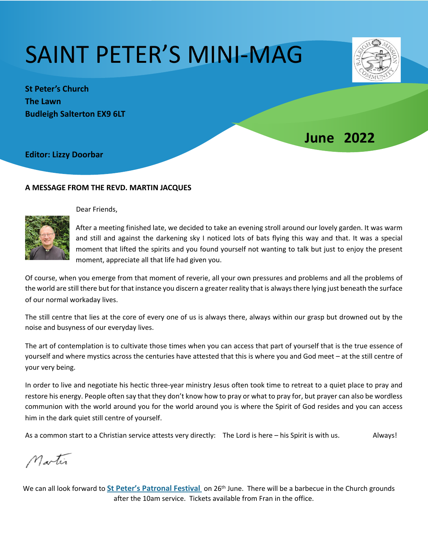# SAINT PETER'S MINI-MAG

**1une 2022** 

**St Peter's Church The Lawn Budleigh Salterton EX9 6LT** 

**Editor: Lizzy Doorbar** 

# **A MESSAGE FROM THE REVD. MARTIN JACQUES**



 $\mathbf{L}$ 

Dear Friends.

After a meeting finished late, we decided to take an evening stroll around our lovely garden. It was warm and still and against the darkening sky I noticed lots of bats flying this way and that. It was a special moment that lifted the spirits and you found yourself not wanting to talk but just to enjoy the present moment, appreciate all that life had given you.

Of course, when you emerge from that moment of reverie, all your own pressures and problems and all the problems of the world are still there but for that instance you discern a greater reality that is always there lying just beneath the surface of our normal workaday lives.

The still centre that lies at the core of every one of us is always there, always within our grasp but drowned out by the noise and busyness of our everyday lives.

The art of contemplation is to cultivate those times when you can access that part of yourself that is the true essence of yourself and where mystics across the centuries have attested that this is where you and God meet – at the still centre of your very being.

In order to live and negotiate his hectic three-year ministry Jesus often took time to retreat to a quiet place to pray and restore his energy. People often say that they don't know how to pray or what to pray for, but prayer can also be wordless communion with the world around you for the world around you is where the Spirit of God resides and you can access him in the dark quiet still centre of yourself.

As a common start to a Christian service attests very directly: The Lord is here – his Spirit is with us. Always!

Martin

We can all look forward to **St Peter's Patronal Festival** on 26<sup>th</sup> June. There will be a barbecue in the Church grounds after the 10am service. Tickets available from Fran in the office.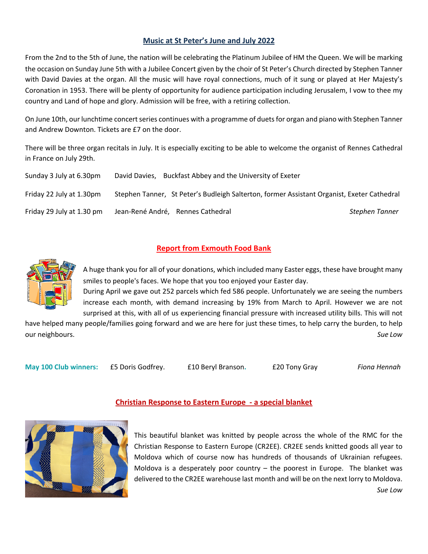## **Music at St Peter's June and July 2022**

From the 2nd to the 5th of June, the nation will be celebrating the Platinum Jubilee of HM the Queen. We will be marking the occasion on Sunday June 5th with a Jubilee Concert given by the choir of St Peter's Church directed by Stephen Tanner with David Davies at the organ. All the music will have royal connections, much of it sung or played at Her Majesty's Coronation in 1953. There will be plenty of opportunity for audience participation including Jerusalem, I vow to thee my country and Land of hope and glory. Admission will be free, with a retiring collection.

On June 10th, our lunchtime concert series continues with a programme of duets for organ and piano with Stephen Tanner and Andrew Downton. Tickets are £7 on the door.

There will be three organ recitals in July. It is especially exciting to be able to welcome the organist of Rennes Cathedral in France on July 29th.

| Sunday 3 July at 6.30pm   | David Davies, Buckfast Abbey and the University of Exeter                                  |                |
|---------------------------|--------------------------------------------------------------------------------------------|----------------|
| Friday 22 July at 1.30pm  | Stephen Tanner, St Peter's Budleigh Salterton, former Assistant Organist, Exeter Cathedral |                |
| Friday 29 July at 1.30 pm | Jean-René André, Rennes Cathedral                                                          | Stephen Tanner |

# **Report from Exmouth Food Bank**



A huge thank you for all of your donations, which included many Easter eggs, these have brought many smiles to people's faces. We hope that you too enjoyed your Easter day.

During April we gave out 252 parcels which fed 586 people. Unfortunately we are seeing the numbers increase each month, with demand increasing by 19% from March to April. However we are not surprised at this, with all of us experiencing financial pressure with increased utility bills. This will not

have helped many people/families going forward and we are here for just these times, to help carry the burden, to help our neighbours. Sue Low

**May 100 Club winners: ES Doris Godfrey. E10 Beryl Branson. E20 Tony Gray** *Fiona Hennah* 

**Christian Response to Eastern Europe - a special blanket** 

This beautiful blanket was knitted by people across the whole of the RMC for the Christian Response to Eastern Europe (CR2EE). CR2EE sends knitted goods all year to Moldova which of course now has hundreds of thousands of Ukrainian refugees. Moldova is a desperately poor country  $-$  the poorest in Europe. The blanket was delivered to the CR2EE warehouse last month and will be on the next lorry to Moldova.

 *Sue Low*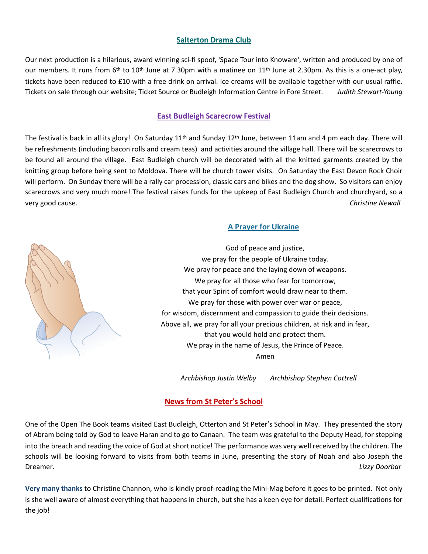# **Salterton Drama Club**

Our next production is a hilarious, award winning sci-fi spoof, 'Space Tour into Knoware', written and produced by one of our members. It runs from  $6<sup>th</sup>$  to  $10<sup>th</sup>$  June at 7.30pm with a matinee on  $11<sup>th</sup>$  June at 2.30pm. As this is a one-act play, tickets have been reduced to £10 with a free drink on arrival. Ice creams will be available together with our usual raffle. Tickets on sale through our website; Ticket Source or Budleigh Information Centre in Fore Street. Judith Stewart-Young

#### **East Budleigh Scarecrow Festival**

The festival is back in all its glory! On Saturday  $11^{th}$  and Sunday  $12^{th}$  June, between 11am and 4 pm each day. There will be refreshments (including bacon rolls and cream teas) and activities around the village hall. There will be scarecrows to be found all around the village. East Budleigh church will be decorated with all the knitted garments created by the knitting group before being sent to Moldova. There will be church tower visits. On Saturday the East Devon Rock Choir will perform. On Sunday there will be a rally car procession, classic cars and bikes and the dog show. So visitors can enjoy scarecrows and very much more! The festival raises funds for the upkeep of East Budleigh Church and churchyard, so a very good cause. *Christine Newall*

#### **A Prayer for Ukraine**



God of peace and justice, we pray for the people of Ukraine today. We pray for peace and the laying down of weapons. We pray for all those who fear for tomorrow, that your Spirit of comfort would draw near to them. We pray for those with power over war or peace, for wisdom, discernment and compassion to guide their decisions. Above all, we pray for all your precious children, at risk and in fear, that you would hold and protect them. We pray in the name of Jesus, the Prince of Peace. Amen

Archbishop Justin Welby Archbishop Stephen Cottrell

#### **News from St Peter's School**

One of the Open The Book teams visited East Budleigh, Otterton and St Peter's School in May. They presented the story of Abram being told by God to leave Haran and to go to Canaan. The team was grateful to the Deputy Head, for stepping into the breach and reading the voice of God at short notice! The performance was very well received by the children. The schools will be looking forward to visits from both teams in June, presenting the story of Noah and also Joseph the Dreamer. **Example 20** *Contract of the Contract of the Contract of the Contract of the Contract of the Cizzy Doorbar* 

**Very many thanks to Christine Channon, who is kindly proof-reading the Mini-Mag before it goes to be printed. Not only** is she well aware of almost everything that happens in church, but she has a keen eye for detail. Perfect qualifications for the job!